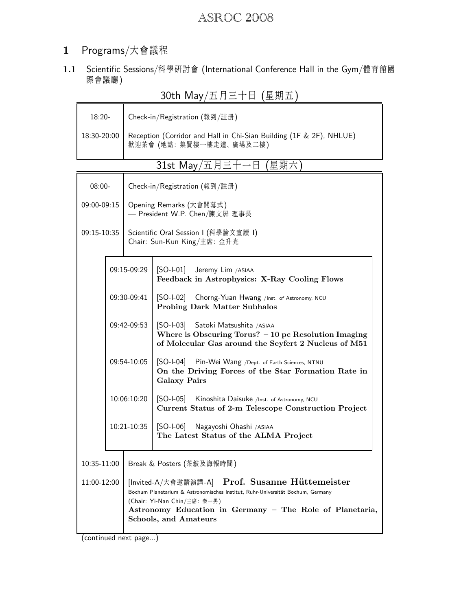### 1 Programs/大會議程

1.1 Scientific Sessions/科學研討會 (International Conference Hall in the Gym/體育館國 際會議廳)

| JULII IVIdy / ㅛ /コ ㅡ ㅣ ㅂ l生 <del>如</del> ㅛ . |                                                                                        |                                                                                                                                                                                                                                                               |                                                                                                                                                      |  |  |  |
|----------------------------------------------|----------------------------------------------------------------------------------------|---------------------------------------------------------------------------------------------------------------------------------------------------------------------------------------------------------------------------------------------------------------|------------------------------------------------------------------------------------------------------------------------------------------------------|--|--|--|
| 18:20-                                       |                                                                                        | Check-in/Registration (報到/註册)                                                                                                                                                                                                                                 |                                                                                                                                                      |  |  |  |
| 18:30-20:00                                  |                                                                                        | Reception (Corridor and Hall in Chi-Sian Building (1F & 2F), NHLUE)<br>歡迎茶會 (地點: 集賢樓一樓走道、廣場及二樓)                                                                                                                                                               |                                                                                                                                                      |  |  |  |
|                                              |                                                                                        |                                                                                                                                                                                                                                                               | 31st May/五月三十一日 (星期六)                                                                                                                                |  |  |  |
| $08:00 -$                                    |                                                                                        | Check-in/Registration (報到/註册)                                                                                                                                                                                                                                 |                                                                                                                                                      |  |  |  |
| 09:00-09:15                                  |                                                                                        | Opening Remarks (大會開幕式)<br>— President W.P. Chen/陳文屛 理事長                                                                                                                                                                                                      |                                                                                                                                                      |  |  |  |
| 09:15-10:35                                  |                                                                                        | Scientific Oral Session I (科學論文宣讀 I)<br>Chair: Sun-Kun King/主席: 金升光                                                                                                                                                                                           |                                                                                                                                                      |  |  |  |
|                                              | 09:15-09:29<br>09:30-09:41<br>09:42-09:53<br>09:54-10:05<br>10:06:10:20<br>10:21-10:35 |                                                                                                                                                                                                                                                               | [SO-I-01] Jeremy Lim /ASIAA<br>Feedback in Astrophysics: X-Ray Cooling Flows                                                                         |  |  |  |
|                                              |                                                                                        |                                                                                                                                                                                                                                                               | [SO-1-02] Chorng-Yuan Hwang /Inst. of Astronomy, NCU<br><b>Probing Dark Matter Subhalos</b>                                                          |  |  |  |
|                                              |                                                                                        |                                                                                                                                                                                                                                                               | [SO-I-03] Satoki Matsushita / ASIAA<br>Where is Obscuring Torus? $-10$ pc Resolution Imaging<br>of Molecular Gas around the Seyfert 2 Nucleus of M51 |  |  |  |
|                                              |                                                                                        |                                                                                                                                                                                                                                                               | [SO-1-04] Pin-Wei Wang /Dept. of Earth Sciences, NTNU<br>On the Driving Forces of the Star Formation Rate in<br><b>Galaxy Pairs</b>                  |  |  |  |
|                                              |                                                                                        |                                                                                                                                                                                                                                                               | [SO-1-05] Kinoshita Daisuke /Inst. of Astronomy, NCU<br>Current Status of 2-m Telescope Construction Project                                         |  |  |  |
|                                              |                                                                                        |                                                                                                                                                                                                                                                               | $[SO-I-06]$<br>Nagayoshi Ohashi /ASIAA<br>The Latest Status of the ALMA Project                                                                      |  |  |  |
| 10:35-11:00                                  |                                                                                        |                                                                                                                                                                                                                                                               | Break & Posters (茶敍及海報時間)                                                                                                                            |  |  |  |
| 11:00-12:00                                  |                                                                                        | [Invited-A/大會邀請演講-A] Prof. Susanne Hüttemeister<br>Bochum Planetarium & Astronomisches Institut, Ruhr-Universität Bochum, Germany<br>(Chair: Yi-Nan Chin/主席: 秦一男)<br>Astronomy Education in Germany - The Role of Planetaria,<br><b>Schools, and Amateurs</b> |                                                                                                                                                      |  |  |  |

 $30th$  May/五月二十日 (星期五)

(continued next page...)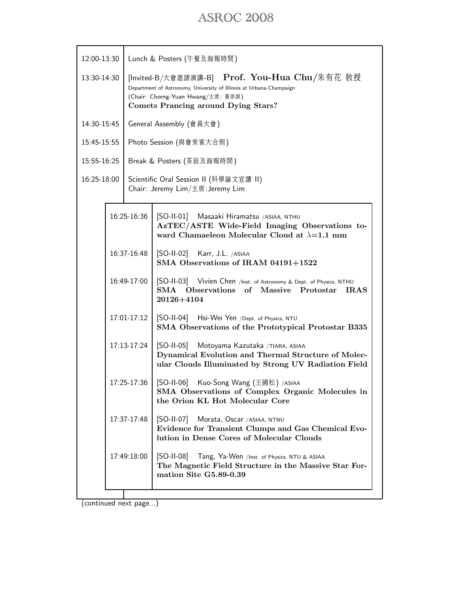| 12:00-13:30                               |                                                                                                                                                                                                          | Lunch & Posters (午餐及海報時間)                                                                                                                                  |  |  |
|-------------------------------------------|----------------------------------------------------------------------------------------------------------------------------------------------------------------------------------------------------------|------------------------------------------------------------------------------------------------------------------------------------------------------------|--|--|
| 13:30-14:30                               | [Invited-B/大會邀請演講-B] Prof. You-Hua Chu/朱有花 教授<br>Department of Astronomy, University of Illinois at Urbana-Champaign<br>(Chair: Chorng-Yuan Hwang/主席: 黃崇源)<br><b>Comets Prancing around Dying Stars?</b> |                                                                                                                                                            |  |  |
| 14:30-15:45                               | General Assembly (會員大會)                                                                                                                                                                                  |                                                                                                                                                            |  |  |
| 15:45-15:55                               | Photo Session (與會來賓大合照)                                                                                                                                                                                  |                                                                                                                                                            |  |  |
| 15:55-16:25                               | Break & Posters (茶敍及海報時間)                                                                                                                                                                                |                                                                                                                                                            |  |  |
| 16:25-18:00                               | Scientific Oral Session II (科學論文宣讀 II)<br>Chair: Jeremy Lim/主席: Jeremy Lim                                                                                                                               |                                                                                                                                                            |  |  |
|                                           | 16:25-16:36                                                                                                                                                                                              | [SO-II-01] Masaaki Hiramatsu / ASIAA, NTHU<br>AzTEC/ASTE Wide-Field Imaging Observations to-<br>ward Chamaeleon Molecular Cloud at $\lambda=1.1$ mm        |  |  |
|                                           | 16:37-16:48                                                                                                                                                                                              | [SO-II-02] Karr, J.L. /ASIAA<br>SMA Observations of IRAM 04191+1522                                                                                        |  |  |
| 16:49-17:00                               |                                                                                                                                                                                                          | [SO-II-03] Vivien Chen /Inst. of Astronomy & Dept. of Physics, NTHU<br>SMA Observations of Massive Protostar<br><b>IRAS</b><br>20126+4104                  |  |  |
|                                           | 17:01-17:12                                                                                                                                                                                              | [SO-II-04] Hsi-Wei Yen /Dept. of Physics, NTU<br>SMA Observations of the Prototypical Protostar B335                                                       |  |  |
| 17:13-17:24<br>17:25-17:36<br>17:37-17:48 |                                                                                                                                                                                                          | [SO-II-05] Motoyama Kazutaka / TIARA, ASIAA<br>Dynamical Evolution and Thermal Structure of Molec-<br>ular Clouds Illuminated by Strong UV Radiation Field |  |  |
|                                           |                                                                                                                                                                                                          | [SO-II-06] Kuo-Song Wang (王國松) /ASIAA<br>SMA Observations of Complex Organic Molecules in<br>the Orion KL Hot Molecular Core                               |  |  |
|                                           |                                                                                                                                                                                                          | $[SO-II-07]$<br>Morata, Oscar /ASIAA, NTNU<br>Evidence for Transient Clumps and Gas Chemical Evo-<br>lution in Dense Cores of Molecular Clouds             |  |  |
|                                           | 17:49:18:00                                                                                                                                                                                              | $[SO-II-08]$<br>Tang, Ya-Wen /Inst. of Physics, NTU & ASIAA<br>The Magnetic Field Structure in the Massive Star For-<br>mation Site G5.89-0.39             |  |  |
|                                           |                                                                                                                                                                                                          |                                                                                                                                                            |  |  |

(continued next page...)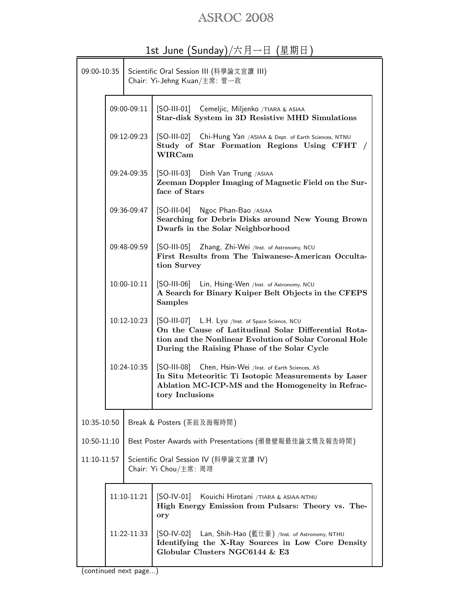| 09:00-10:35 |               | Scientific Oral Session III (科學論文宣讀 III)<br>Chair: Yi-Jehng Kuan/主席: 管一政 |                                                                                                                                                                                                                    |  |  |
|-------------|---------------|--------------------------------------------------------------------------|--------------------------------------------------------------------------------------------------------------------------------------------------------------------------------------------------------------------|--|--|
|             | 09:00-09:11   |                                                                          | [SO-III-01] Cemeljic, Miljenko /TIARA & ASIAA<br>Star-disk System in 3D Resistive MHD Simulations                                                                                                                  |  |  |
|             | 09:12-09:23   |                                                                          | [SO-III-02] Chi-Hung Yan /ASIAA & Dept. of Earth Sciences, NTNU<br>Study of Star Formation Regions Using CFHT<br><b>WIRCam</b>                                                                                     |  |  |
|             |               |                                                                          | 09:24-09:35   [SO-III-03] Dinh Van Trung / ASIAA<br>Zeeman Doppler Imaging of Magnetic Field on the Sur-<br>face of Stars                                                                                          |  |  |
|             |               |                                                                          | 09:36-09:47   [SO-III-04] Ngoc Phan-Bao / ASIAA<br>Searching for Debris Disks around New Young Brown<br>Dwarfs in the Solar Neighborhood                                                                           |  |  |
|             | 09:48-09:59   |                                                                          | [SO-III-05] Zhang, Zhi-Wei /Inst. of Astronomy, NCU<br>First Results from The Taiwanese-American Occulta-<br>tion Survey                                                                                           |  |  |
|             | $10:00-10:11$ |                                                                          | [SO-III-06] Lin, Hsing-Wen /Inst. of Astronomy, NCU<br>A Search for Binary Kuiper Belt Objects in the CFEPS<br><b>Samples</b>                                                                                      |  |  |
|             | 10:12-10:23   |                                                                          | [SO-III-07] L.H. Lyu /Inst. of Space Science, NCU<br>On the Cause of Latitudinal Solar Differential Rota-<br>tion and the Nonlinear Evolution of Solar Coronal Hole<br>During the Raising Phase of the Solar Cycle |  |  |
|             | 10:24-10:35   |                                                                          | [SO-III-08] Chen, Hsin-Wei /Inst. of Earth Sciences, AS<br>In Situ Meteoritic Ti Isotopic Measurements by Laser<br>Ablation MC-ICP-MS and the Homogeneity in Refrac-<br>tory Inclusions                            |  |  |
| 10:35-10:50 |               |                                                                          | Break & Posters (茶敍及海報時間)                                                                                                                                                                                          |  |  |
| 10:50-11:10 |               |                                                                          | Best Poster Awards with Presentations (頒發壁報最佳論文獎及報告時間)                                                                                                                                                             |  |  |
| 11:10-11:57 |               |                                                                          | Scientific Oral Session IV (科學論文宣讀 IV)<br>Chair: Yi Chou/主席: 周翊                                                                                                                                                    |  |  |
|             | 11:10-11:21   |                                                                          | $[SO-IV-01]$<br>Kouichi Hirotani / TIARA & ASIAA-NTHU<br>High Energy Emission from Pulsars: Theory vs. The-<br>ory                                                                                                 |  |  |
| 11:22-11:33 |               |                                                                          | [SO-IV-02] Lan, Shih-Hao (藍仕豪) /Inst. of Astronomy, NTHU<br>Identifying the X-Ray Sources in Low Core Density<br>Globular Clusters NGC6144 & E3                                                                    |  |  |

## 1st June (Sunday)/六月一日 (星期日)

(continued next page...)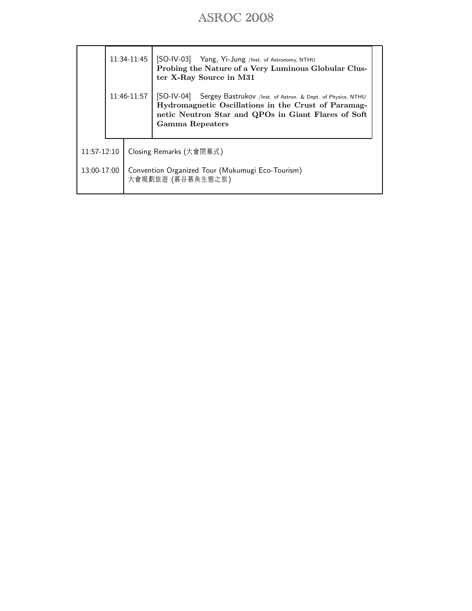|               |  |                                                                       | 11:34-11:45   [SO-IV-03] Yang, Yi-Jung /Inst. of Astronomy, NTHU<br>Probing the Nature of a Very Luminous Globular Clus-<br>ter X-Ray Source in M31                                                            |  |
|---------------|--|-----------------------------------------------------------------------|----------------------------------------------------------------------------------------------------------------------------------------------------------------------------------------------------------------|--|
|               |  | 11:46-11:57                                                           | [SO-IV-04] Sergey Bastrukov /Inst. of Astron. & Dept. of Physics, NTHU<br>Hydromagnetic Oscillations in the Crust of Paramag-<br>netic Neutron Star and QPOs in Giant Flares of Soft<br><b>Gamma Repeaters</b> |  |
| $11:57-12:10$ |  | Closing Remarks (大會閉幕式)                                               |                                                                                                                                                                                                                |  |
| 13:00-17:00   |  | Convention Organized Tour (Mukumugi Eco-Tourism)<br>大會規劃旅遊 (慕谷慕魚生態之旅) |                                                                                                                                                                                                                |  |